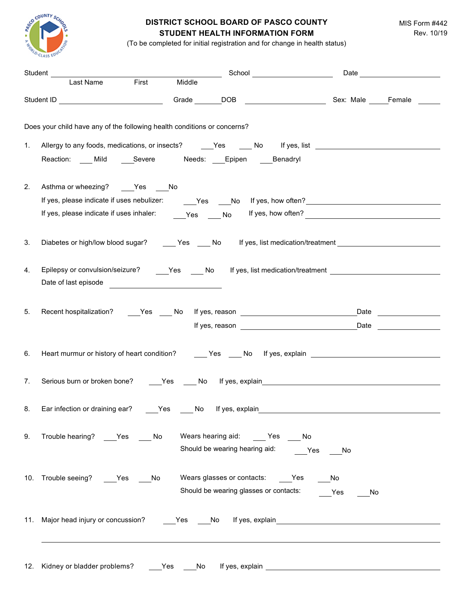

## **DISTRICT SCHOOL BOARD OF PASCO COUNTY STUDENT HEALTH INFORMATION FORM**

MIS Form #442 Rev. 10/19

(To be completed for initial registration and for change in health status)

|                                                                                                      |                                                                                           | Student Last Name First Middle School School Date Date Last Name First Middle                                  |  |
|------------------------------------------------------------------------------------------------------|-------------------------------------------------------------------------------------------|----------------------------------------------------------------------------------------------------------------|--|
|                                                                                                      |                                                                                           |                                                                                                                |  |
| Does your child have any of the following health conditions or concerns?                             |                                                                                           |                                                                                                                |  |
| 1.                                                                                                   |                                                                                           | Allergy to any foods, medications, or insects? _______Yes ______ No ____ If yes, list ________________________ |  |
| Reaction: Mild Severe Needs: Epipen Benadryl                                                         |                                                                                           |                                                                                                                |  |
| Asthma or wheezing? ____Yes ____No<br>2.                                                             |                                                                                           |                                                                                                                |  |
|                                                                                                      |                                                                                           |                                                                                                                |  |
|                                                                                                      |                                                                                           |                                                                                                                |  |
| 3.                                                                                                   |                                                                                           | Diabetes or high/low blood sugar? ______Yes _____No lf yes, list medication/treatment ________________________ |  |
| 4.                                                                                                   |                                                                                           |                                                                                                                |  |
| Date of last episode                                                                                 |                                                                                           |                                                                                                                |  |
|                                                                                                      |                                                                                           |                                                                                                                |  |
| 5.                                                                                                   |                                                                                           | Recent hospitalization? _____Yes _____No lf yes, reason ________________________________Date _________________ |  |
|                                                                                                      |                                                                                           |                                                                                                                |  |
| 6.                                                                                                   |                                                                                           | Heart murmur or history of heart condition? _______Yes _____No lf yes, explain _______________________________ |  |
| 7.                                                                                                   |                                                                                           |                                                                                                                |  |
|                                                                                                      |                                                                                           |                                                                                                                |  |
| 8. Ear infection or draining ear? _____Yes _____No lf yes, explain__________________________________ |                                                                                           |                                                                                                                |  |
| Trouble hearing? ____Yes _____ No<br>9.                                                              | Wears hearing aid: _____ Yes ____ No                                                      |                                                                                                                |  |
| 10. Trouble seeing? ____Yes ____No                                                                   | Wears glasses or contacts: _____Yes _____No<br>Should be wearing glasses or contacts: Ves | No                                                                                                             |  |
|                                                                                                      |                                                                                           |                                                                                                                |  |
| 12. Kidney or bladder problems?                                                                      | Yes<br>No.                                                                                |                                                                                                                |  |